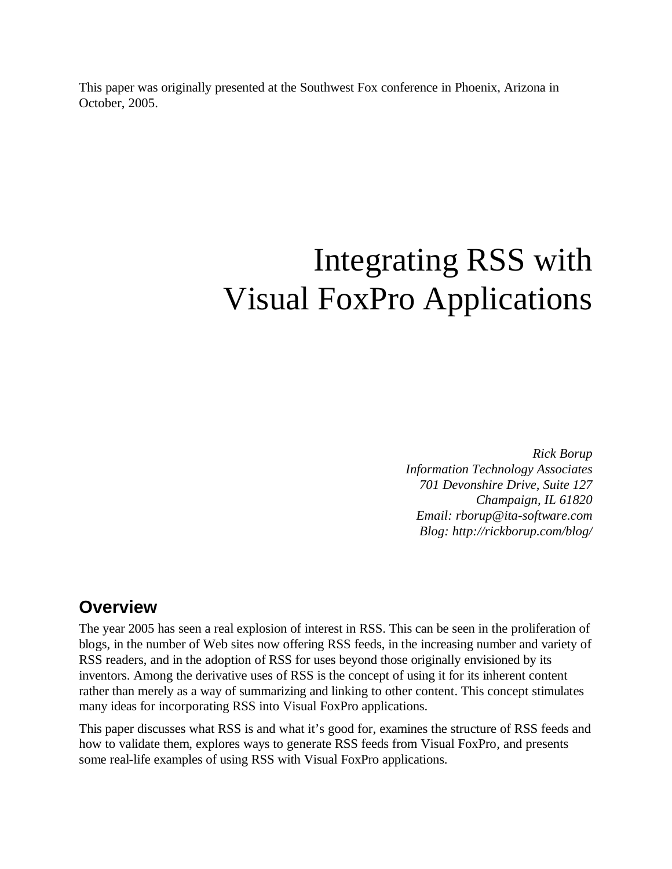This paper was originally presented at the Southwest Fox conference in Phoenix, Arizona in October, 2005.

# Integrating RSS with Visual FoxPro Applications

*Rick Borup Information Technology Associates 701 Devonshire Drive, Suite 127 Champaign, IL 61820 Email: rborup@ita-software.com Blog: http://rickborup.com/blog/*

### **Overview**

The year 2005 has seen a real explosion of interest in RSS. This can be seen in the proliferation of blogs, in the number of Web sites now offering RSS feeds, in the increasing number and variety of RSS readers, and in the adoption of RSS for uses beyond those originally envisioned by its inventors. Among the derivative uses of RSS is the concept of using it for its inherent content rather than merely as a way of summarizing and linking to other content. This concept stimulates many ideas for incorporating RSS into Visual FoxPro applications.

This paper discusses what RSS is and what it's good for, examines the structure of RSS feeds and how to validate them, explores ways to generate RSS feeds from Visual FoxPro, and presents some real-life examples of using RSS with Visual FoxPro applications.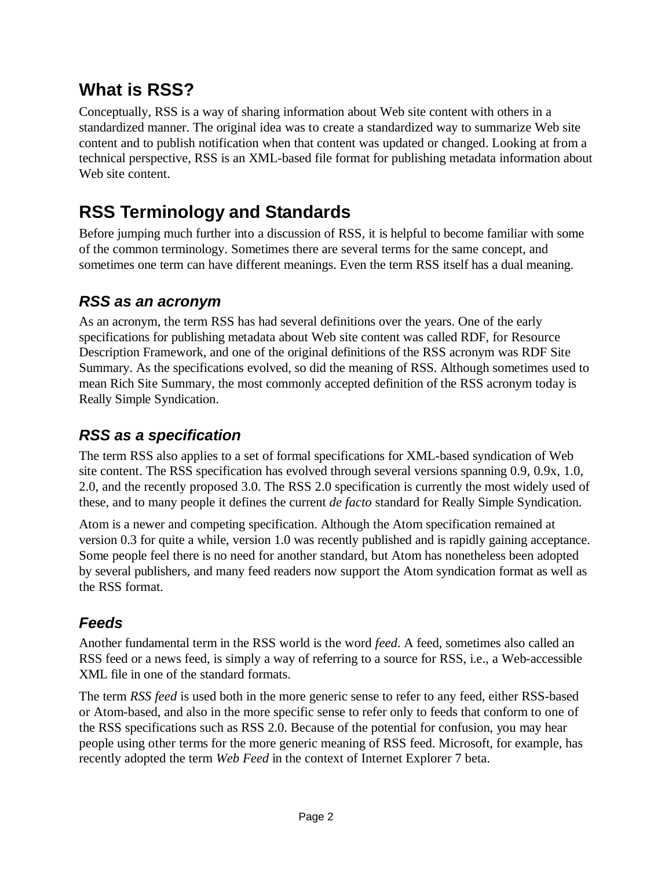# **What is RSS?**

Conceptually, RSS is a way of sharing information about Web site content with others in a standardized manner. The original idea was to create a standardized way to summarize Web site content and to publish notification when that content was updated or changed. Looking at from a technical perspective, RSS is an XML-based file format for publishing metadata information about Web site content.

# **RSS Terminology and Standards**

Before jumping much further into a discussion of RSS, it is helpful to become familiar with some of the common terminology. Sometimes there are several terms for the same concept, and sometimes one term can have different meanings. Even the term RSS itself has a dual meaning.

### *RSS as an acronym*

As an acronym, the term RSS has had several definitions over the years. One of the early specifications for publishing metadata about Web site content was called RDF, for Resource Description Framework, and one of the original definitions of the RSS acronym was RDF Site Summary. As the specifications evolved, so did the meaning of RSS. Although sometimes used to mean Rich Site Summary, the most commonly accepted definition of the RSS acronym today is Really Simple Syndication.

## *RSS as a specification*

The term RSS also applies to a set of formal specifications for XML-based syndication of Web site content. The RSS specification has evolved through several versions spanning 0.9, 0.9x, 1.0, 2.0, and the recently proposed 3.0. The RSS 2.0 specification is currently the most widely used of these, and to many people it defines the current *de facto* standard for Really Simple Syndication.

Atom is a newer and competing specification. Although the Atom specification remained at version 0.3 for quite a while, version 1.0 was recently published and is rapidly gaining acceptance. Some people feel there is no need for another standard, but Atom has nonetheless been adopted by several publishers, and many feed readers now support the Atom syndication format as well as the RSS format.

### *Feeds*

Another fundamental term in the RSS world is the word *feed*. A feed, sometimes also called an RSS feed or a news feed, is simply a way of referring to a source for RSS, i.e., a Web-accessible XML file in one of the standard formats.

The term *RSS feed* is used both in the more generic sense to refer to any feed, either RSS-based or Atom-based, and also in the more specific sense to refer only to feeds that conform to one of the RSS specifications such as RSS 2.0. Because of the potential for confusion, you may hear people using other terms for the more generic meaning of RSS feed. Microsoft, for example, has recently adopted the term *Web Feed* in the context of Internet Explorer 7 beta.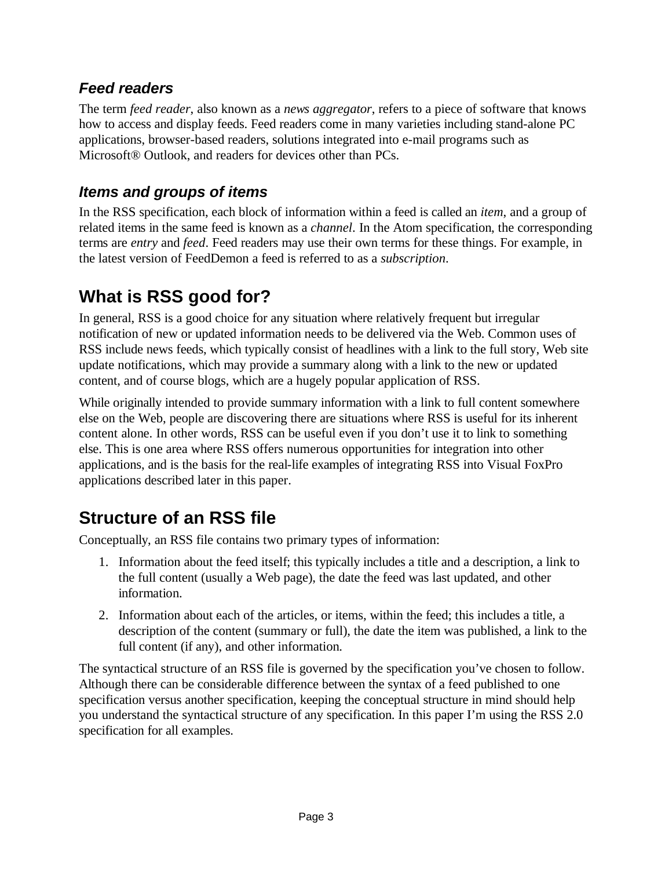### *Feed readers*

The term *feed reader*, also known as a *news aggregator*, refers to a piece of software that knows how to access and display feeds. Feed readers come in many varieties including stand-alone PC applications, browser-based readers, solutions integrated into e-mail programs such as Microsoft® Outlook, and readers for devices other than PCs.

### *Items and groups of items*

In the RSS specification, each block of information within a feed is called an *item*, and a group of related items in the same feed is known as a *channel*. In the Atom specification, the corresponding terms are *entry* and *feed*. Feed readers may use their own terms for these things. For example, in the latest version of FeedDemon a feed is referred to as a *subscription*.

# **What is RSS good for?**

In general, RSS is a good choice for any situation where relatively frequent but irregular notification of new or updated information needs to be delivered via the Web. Common uses of RSS include news feeds, which typically consist of headlines with a link to the full story, Web site update notifications, which may provide a summary along with a link to the new or updated content, and of course blogs, which are a hugely popular application of RSS.

While originally intended to provide summary information with a link to full content somewhere else on the Web, people are discovering there are situations where RSS is useful for its inherent content alone. In other words, RSS can be useful even if you don't use it to link to something else. This is one area where RSS offers numerous opportunities for integration into other applications, and is the basis for the real-life examples of integrating RSS into Visual FoxPro applications described later in this paper.

# **Structure of an RSS file**

Conceptually, an RSS file contains two primary types of information:

- 1. Information about the feed itself; this typically includes a title and a description, a link to the full content (usually a Web page), the date the feed was last updated, and other information.
- 2. Information about each of the articles, or items, within the feed; this includes a title, a description of the content (summary or full), the date the item was published, a link to the full content (if any), and other information.

The syntactical structure of an RSS file is governed by the specification you've chosen to follow. Although there can be considerable difference between the syntax of a feed published to one specification versus another specification, keeping the conceptual structure in mind should help you understand the syntactical structure of any specification. In this paper I'm using the RSS 2.0 specification for all examples.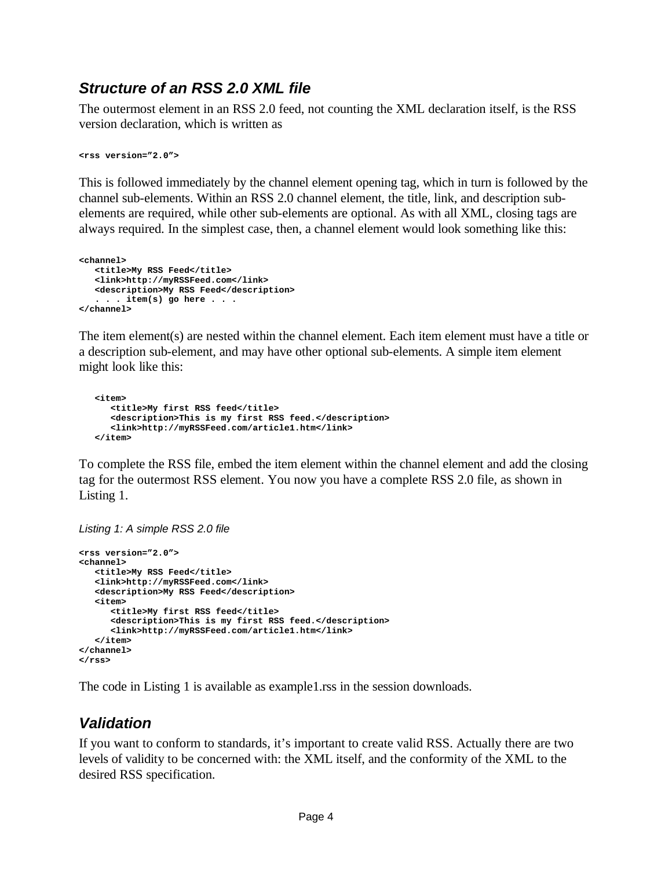### *Structure of an RSS 2.0 XML file*

The outermost element in an RSS 2.0 feed, not counting the XML declaration itself, is the RSS version declaration, which is written as

**<rss version="2.0">**

This is followed immediately by the channel element opening tag, which in turn is followed by the channel sub-elements. Within an RSS 2.0 channel element, the title, link, and description subelements are required, while other sub-elements are optional. As with all XML, closing tags are always required. In the simplest case, then, a channel element would look something like this:

```
<channel>
  <title>My RSS Feed</title>
  <link>http://myRSSFeed.com</link>
  <description>My RSS Feed</description>
   . . . item(s) go here . . .
</channel>
```
The item element(s) are nested within the channel element. Each item element must have a title or a description sub-element, and may have other optional sub-elements. A simple item element might look like this:

```
<item>
   <title>My first RSS feed</title>
   <description>This is my first RSS feed.</description>
   <link>http://myRSSFeed.com/article1.htm</link>
</item>
```
To complete the RSS file, embed the item element within the channel element and add the closing tag for the outermost RSS element. You now you have a complete RSS 2.0 file, as shown in Listing 1.

*Listing 1: A simple RSS 2.0 file*

```
<rss version="2.0">
<channel>
   <title>My RSS Feed</title>
   <link>http://myRSSFeed.com</link>
   <description>My RSS Feed</description>
   <item>
      <title>My first RSS feed</title>
      <description>This is my first RSS feed.</description>
      <link>http://myRSSFeed.com/article1.htm</link>
   </item>
</channel>
</rss>
```
The code in Listing 1 is available as example1.rss in the session downloads.

#### *Validation*

If you want to conform to standards, it's important to create valid RSS. Actually there are two levels of validity to be concerned with: the XML itself, and the conformity of the XML to the desired RSS specification.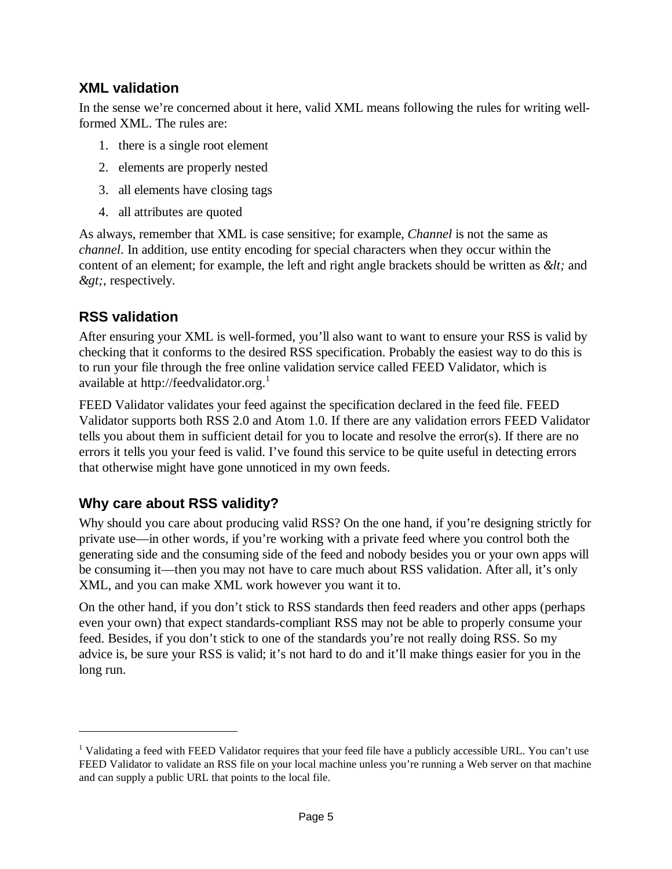#### **XML validation**

In the sense we're concerned about it here, valid XML means following the rules for writing wellformed XML. The rules are:

- 1. there is a single root element
- 2. elements are properly nested
- 3. all elements have closing tags
- 4. all attributes are quoted

As always, remember that XML is case sensitive; for example, *Channel* is not the same as *channel*. In addition, use entity encoding for special characters when they occur within the content of an element; for example, the left and right angle brackets should be written as  $\< l$ ; and  $\>gt;$ , respectively.

#### **RSS validation**

After ensuring your XML is well-formed, you'll also want to want to ensure your RSS is valid by checking that it conforms to the desired RSS specification. Probably the easiest way to do this is to run your file through the free online validation service called FEED Validator, which is available at http://feedvalidator.org.<sup>1</sup>

FEED Validator validates your feed against the specification declared in the feed file. FEED Validator supports both RSS 2.0 and Atom 1.0. If there are any validation errors FEED Validator tells you about them in sufficient detail for you to locate and resolve the error(s). If there are no errors it tells you your feed is valid. I've found this service to be quite useful in detecting errors that otherwise might have gone unnoticed in my own feeds.

#### **Why care about RSS validity?**

Why should you care about producing valid RSS? On the one hand, if you're designing strictly for private use—in other words, if you're working with a private feed where you control both the generating side and the consuming side of the feed and nobody besides you or your own apps will be consuming it—then you may not have to care much about RSS validation. After all, it's only XML, and you can make XML work however you want it to.

On the other hand, if you don't stick to RSS standards then feed readers and other apps (perhaps even your own) that expect standards-compliant RSS may not be able to properly consume your feed. Besides, if you don't stick to one of the standards you're not really doing RSS. So my advice is, be sure your RSS is valid; it's not hard to do and it'll make things easier for you in the long run.

<sup>&</sup>lt;sup>1</sup> Validating a feed with FEED Validator requires that your feed file have a publicly accessible URL. You can't use FEED Validator to validate an RSS file on your local machine unless you're running a Web server on that machine and can supply a public URL that points to the local file.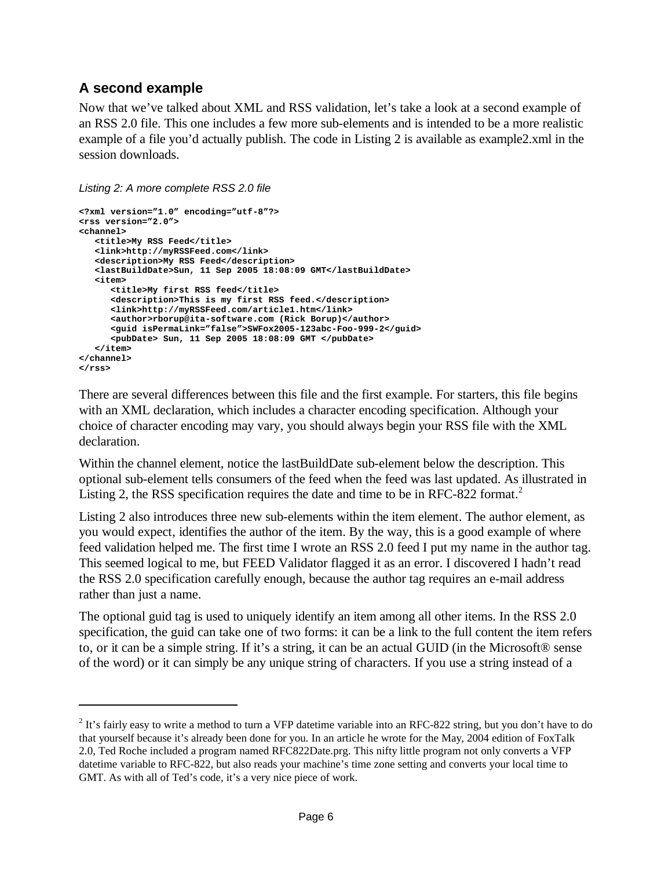### **A second example**

Now that we've talked about XML and RSS validation, let's take a look at a second example of an RSS 2.0 file. This one includes a few more sub-elements and is intended to be a more realistic example of a file you'd actually publish. The code in Listing 2 is available as example2.xml in the session downloads.

*Listing 2: A more complete RSS 2.0 file*

```
<?xml version="1.0" encoding="utf-8"?>
<rss version="2.0">
<channel>
  <title>My RSS Feed</title>
   <link>http://myRSSFeed.com</link>
   <description>My RSS Feed</description>
   <lastBuildDate>Sun, 11 Sep 2005 18:08:09 GMT</lastBuildDate>
   <item>
      <title>My first RSS feed</title>
      <description>This is my first RSS feed.</description>
      <link>http://myRSSFeed.com/article1.htm</link>
      <author>rborup@ita-software.com (Rick Borup)</author>
      <guid isPermaLink="false">SWFox2005-123abc-Foo-999-2</guid>
      <pubDate> Sun, 11 Sep 2005 18:08:09 GMT </pubDate>
   </item>
</channel>
</rss>
```
There are several differences between this file and the first example. For starters, this file begins with an XML declaration, which includes a character encoding specification. Although your choice of character encoding may vary, you should always begin your RSS file with the XML declaration.

Within the channel element, notice the lastBuildDate sub-element below the description. This optional sub-element tells consumers of the feed when the feed was last updated. As illustrated in Listing 2, the RSS specification requires the date and time to be in RFC-822 format.<sup>2</sup>

Listing 2 also introduces three new sub-elements within the item element. The author element, as you would expect, identifies the author of the item. By the way, this is a good example of where feed validation helped me. The first time I wrote an RSS 2.0 feed I put my name in the author tag. This seemed logical to me, but FEED Validator flagged it as an error. I discovered I hadn't read the RSS 2.0 specification carefully enough, because the author tag requires an e-mail address rather than just a name.

The optional guid tag is used to uniquely identify an item among all other items. In the RSS 2.0 specification, the guid can take one of two forms: it can be a link to the full content the item refers to, or it can be a simple string. If it's a string, it can be an actual GUID (in the Microsoft® sense of the word) or it can simply be any unique string of characters. If you use a string instead of a

 $2$  It's fairly easy to write a method to turn a VFP datetime variable into an RFC-822 string, but you don't have to do that yourself because it's already been done for you. In an article he wrote for the May, 2004 edition of FoxTalk 2.0, Ted Roche included a program named RFC822Date.prg. This nifty little program not only converts a VFP datetime variable to RFC-822, but also reads your machine's time zone setting and converts your local time to GMT. As with all of Ted's code, it's a very nice piece of work.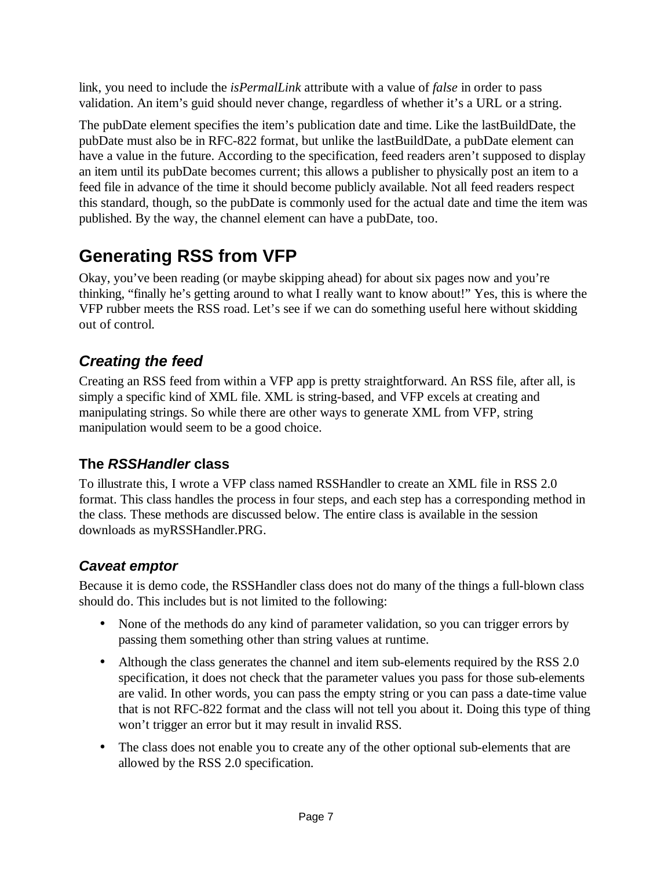link, you need to include the *isPermalLink* attribute with a value of *false* in order to pass validation. An item's guid should never change, regardless of whether it's a URL or a string.

The pubDate element specifies the item's publication date and time. Like the lastBuildDate, the pubDate must also be in RFC-822 format, but unlike the lastBuildDate, a pubDate element can have a value in the future. According to the specification, feed readers aren't supposed to display an item until its pubDate becomes current; this allows a publisher to physically post an item to a feed file in advance of the time it should become publicly available. Not all feed readers respect this standard, though, so the pubDate is commonly used for the actual date and time the item was published. By the way, the channel element can have a pubDate, too.

# **Generating RSS from VFP**

Okay, you've been reading (or maybe skipping ahead) for about six pages now and you're thinking, "finally he's getting around to what I really want to know about!" Yes, this is where the VFP rubber meets the RSS road. Let's see if we can do something useful here without skidding out of control.

# *Creating the feed*

Creating an RSS feed from within a VFP app is pretty straightforward. An RSS file, after all, is simply a specific kind of XML file. XML is string-based, and VFP excels at creating and manipulating strings. So while there are other ways to generate XML from VFP, string manipulation would seem to be a good choice.

### **The** *RSSHandler* **class**

To illustrate this, I wrote a VFP class named RSSHandler to create an XML file in RSS 2.0 format. This class handles the process in four steps, and each step has a corresponding method in the class. These methods are discussed below. The entire class is available in the session downloads as myRSSHandler.PRG.

### *Caveat emptor*

Because it is demo code, the RSSHandler class does not do many of the things a full-blown class should do. This includes but is not limited to the following:

- None of the methods do any kind of parameter validation, so you can trigger errors by passing them something other than string values at runtime.
- Although the class generates the channel and item sub-elements required by the RSS 2.0 specification, it does not check that the parameter values you pass for those sub-elements are valid. In other words, you can pass the empty string or you can pass a date-time value that is not RFC-822 format and the class will not tell you about it. Doing this type of thing won't trigger an error but it may result in invalid RSS.
- The class does not enable you to create any of the other optional sub-elements that are allowed by the RSS 2.0 specification.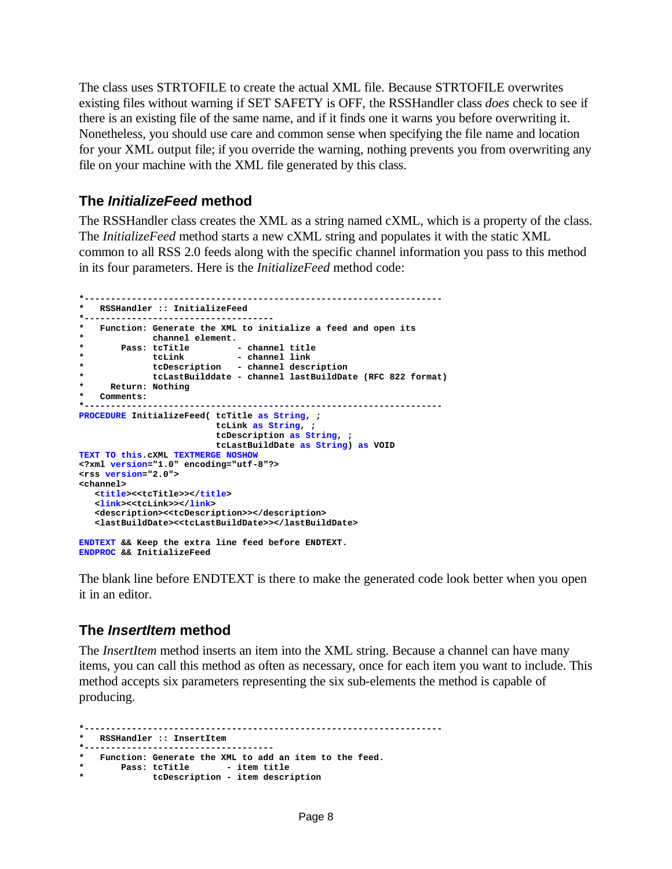The class uses STRTOFILE to create the actual XML file. Because STRTOFILE overwrites existing files without warning if SET SAFETY is OFF, the RSSHandler class *does* check to see if there is an existing file of the same name, and if it finds one it warns you before overwriting it. Nonetheless, you should use care and common sense when specifying the file name and location for your XML output file; if you override the warning, nothing prevents you from overwriting any file on your machine with the XML file generated by this class.

#### **The** *InitializeFeed* **method**

The RSSHandler class creates the XML as a string named cXML, which is a property of the class. The *InitializeFeed* method starts a new cXML string and populates it with the static XML common to all RSS 2.0 feeds along with the specific channel information you pass to this method in its four parameters. Here is the *InitializeFeed* method code:

```
*--------------------------------------------------------------------
* RSSHandler :: InitializeFeed
*------------------------------------
  * Function: Generate the XML to initialize a feed and open its
            * channel element.
* Pass: tcTitle - channel title
* tcLink - channel link
            * tcDescription - channel description
            * tcLastBuilddate - channel lastBuildDate (RFC 822 format)
    * Return: Nothing
* Comments: 
*--------------------------------------------------------------------
PROCEDURE InitializeFeed( tcTitle as String, ;
                       tcLink as String, ;
                        tcDescription as String, ;
                        tcLastBuildDate as String) as VOID
TEXT TO this.cXML TEXTMERGE NOSHOW 
<?xml version="1.0" encoding="utf-8"?>
<rss version="2.0">
<channel>
  <title><<tcTitle>></title>
   <link><<tcLink>></link>
  <description><<tcDescription>></description>
  <lastBuildDate><<tcLastBuildDate>></lastBuildDate>
ENDTEXT && Keep the extra line feed before ENDTEXT.
```
**ENDPROC && InitializeFeed**

The blank line before ENDTEXT is there to make the generated code look better when you open it in an editor.

#### **The** *InsertItem* **method**

The *InsertItem* method inserts an item into the XML string. Because a channel can have many items, you can call this method as often as necessary, once for each item you want to include. This method accepts six parameters representing the six sub-elements the method is capable of producing.

```
*--------------------------------------------------------------------
* RSSHandler :: InsertItem
*------------------------------------
* Function: Generate the XML to add an item to the feed.
   * Pass: tcTitle - item title
            * tcDescription - item description
```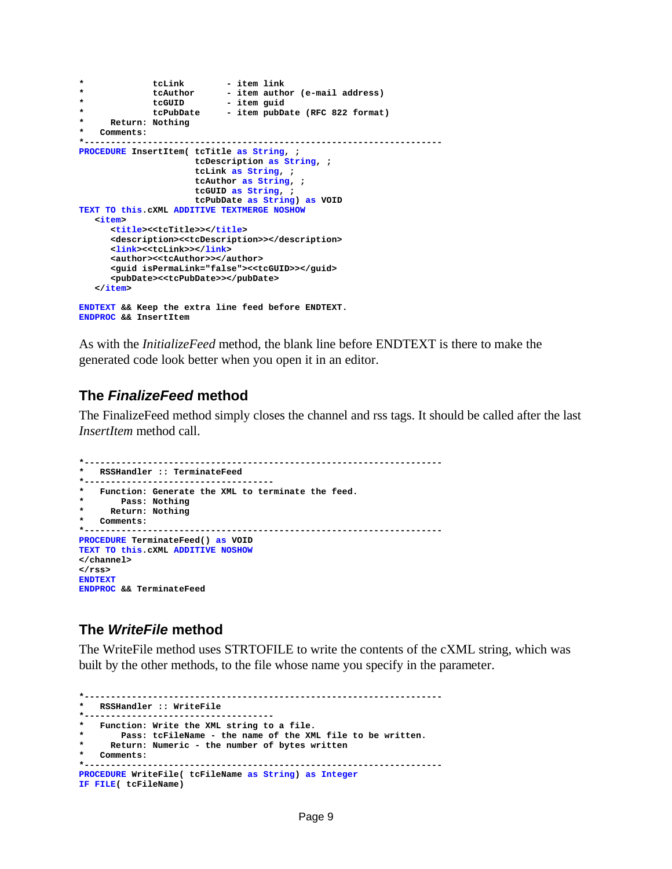```
* tcLink - item link
* tcAuthor - item author (e-mail address)
* tcGUID - item guid
* tcPubDate - item pubDate (RFC 822 format)
    * Return: Nothing
  * Comments: 
*--------------------------------------------------------------------
PROCEDURE InsertItem( tcTitle as String, ;
                    tcDescription as String, ;
                    tcLink as String, ;
                    tcAuthor as String, ;
                    tcGUID as String, ;
                   tcPubDate as String) as VOID
TEXT TO this.cXML ADDITIVE TEXTMERGE NOSHOW
  <item>
     <title><<tcTitle>></title>
     <description><<tcDescription>></description>
     <link><<tcLink>></link>
     <author><<tcAuthor>></author>
     <guid isPermaLink="false"><<tcGUID>></guid>
     <pubDate><<tcPubDate>></pubDate>
  </item>
ENDTEXT && Keep the extra line feed before ENDTEXT.
ENDPROC && InsertItem
```
As with the *InitializeFeed* method, the blank line before ENDTEXT is there to make the generated code look better when you open it in an editor.

#### **The** *FinalizeFeed* **method**

The FinalizeFeed method simply closes the channel and rss tags. It should be called after the last *InsertItem* method call.

```
*--------------------------------------------------------------------
 * RSSHandler :: TerminateFeed
*------------------------------------
 * Function: Generate the XML to terminate the feed.
      * Pass: Nothing
     * Return: Nothing
  * Comments: 
*--------------------------------------------------------------------
PROCEDURE TerminateFeed() as VOID
TEXT TO this.cXML ADDITIVE NOSHOW
</channel>
</rss>
ENDTEXT
ENDPROC && TerminateFeed
```
#### **The** *WriteFile* **method**

The WriteFile method uses STRTOFILE to write the contents of the cXML string, which was built by the other methods, to the file whose name you specify in the parameter.

```
*--------------------------------------------------------------------
  * RSSHandler :: WriteFile
*------------------------------------
  * Function: Write the XML string to a file.
        * Pass: tcFileName - the name of the XML file to be written.
      * Return: Numeric - the number of bytes written
   * Comments: 
                                                        *--------------------------------------------------------------------
PROCEDURE WriteFile( tcFileName as String) as Integer 
IF FILE( tcFileName)
```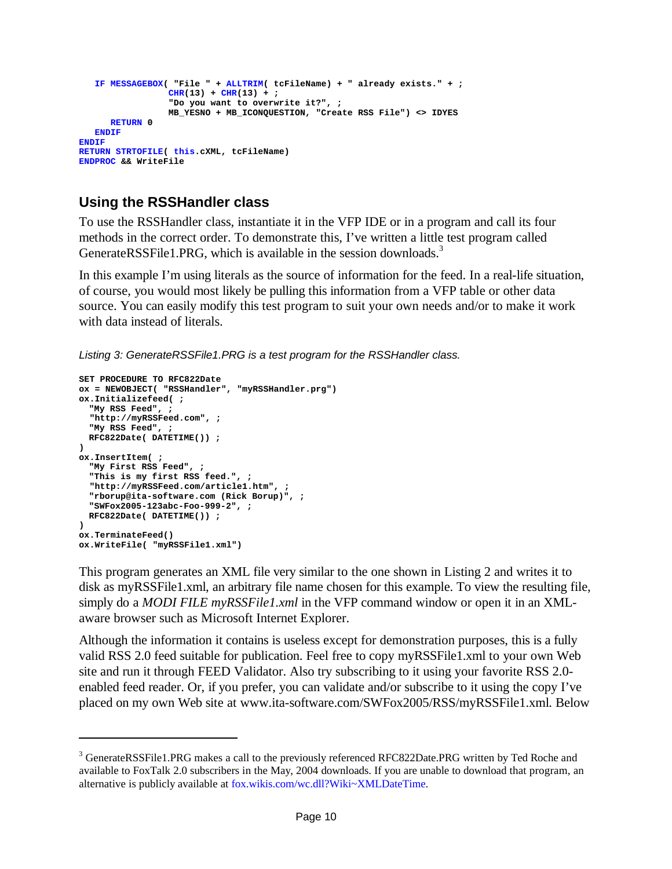```
IF MESSAGEBOX( "File " + ALLTRIM( tcFileName) + " already exists." + ;
                 CHR(13) + CHR(13) + ;"Do you want to overwrite it?", ;
                MB_YESNO + MB_ICONQUESTION, "Create RSS File") <> IDYES
     RETURN 0
   ENDIF
ENDIF
RETURN STRTOFILE( this.cXML, tcFileName)
ENDPROC && WriteFile
```
### **Using the RSSHandler class**

To use the RSSHandler class, instantiate it in the VFP IDE or in a program and call its four methods in the correct order. To demonstrate this, I've written a little test program called GenerateRSSFile1.PRG, which is available in the session downloads.<sup>3</sup>

In this example I'm using literals as the source of information for the feed. In a real-life situation, of course, you would most likely be pulling this information from a VFP table or other data source. You can easily modify this test program to suit your own needs and/or to make it work with data instead of literals.

*Listing 3: GenerateRSSFile1.PRG is a test program for the RSSHandler class.*

```
SET PROCEDURE TO RFC822Date
ox = NEWOBJECT( "RSSHandler", "myRSSHandler.prg")
ox.Initializefeed( ;
  "My RSS Feed", ;
  "http://myRSSFeed.com", ;
 "My RSS Feed", ;
 RFC822Date( DATETIME()) ;
)
ox.InsertItem( ;
  "My First RSS Feed", ;
  "This is my first RSS feed.", ;
  "http://myRSSFeed.com/article1.htm", ;
  "rborup@ita-software.com (Rick Borup)", ;
 "SWFox2005-123abc-Foo-999-2", ;
 RFC822Date( DATETIME()) ;
)
ox.TerminateFeed()
ox.WriteFile( "myRSSFile1.xml")
```
This program generates an XML file very similar to the one shown in Listing 2 and writes it to disk as myRSSFile1.xml, an arbitrary file name chosen for this example. To view the resulting file, simply do a *MODI FILE myRSSFile1.xml* in the VFP command window or open it in an XMLaware browser such as Microsoft Internet Explorer.

Although the information it contains is useless except for demonstration purposes, this is a fully valid RSS 2.0 feed suitable for publication. Feel free to copy myRSSFile1.xml to your own Web site and run it through FEED Validator. Also try subscribing to it using your favorite RSS 2.0 enabled feed reader. Or, if you prefer, you can validate and/or subscribe to it using the copy I've placed on my own Web site at www.ita-software.com/SWFox2005/RSS/myRSSFile1.xml. Below

<sup>&</sup>lt;sup>3</sup> GenerateRSSFile1.PRG makes a call to the previously referenced RFC822Date.PRG written by Ted Roche and available to FoxTalk 2.0 subscribers in the May, 2004 downloads. If you are unable to download that program, an alternative is publicly available at fox.wikis.com/wc.dll?Wiki~XMLDateTime.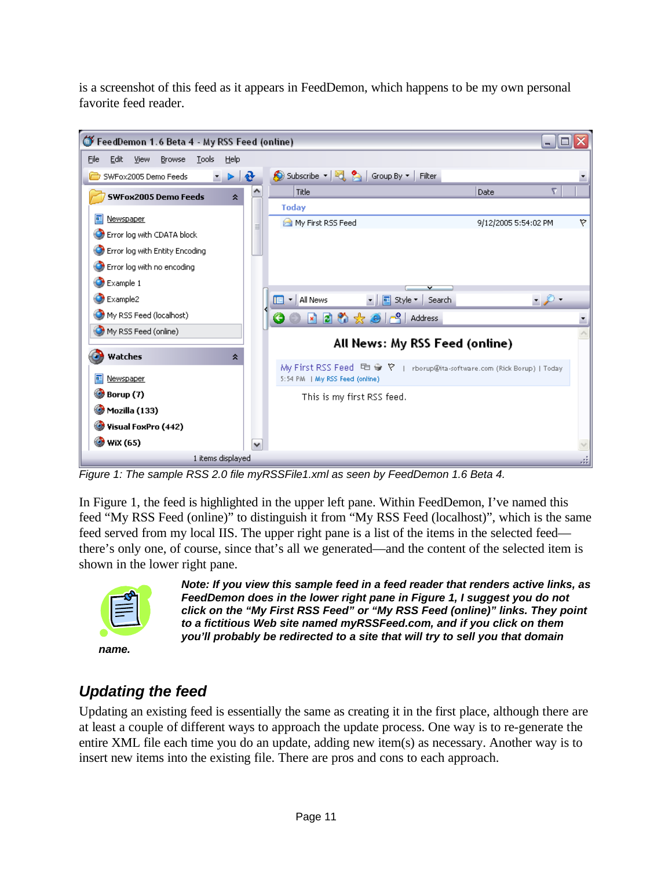is a screenshot of this feed as it appears in FeedDemon, which happens to be my own personal favorite feed reader.



*Figure 1: The sample RSS 2.0 file myRSSFile1.xml as seen by FeedDemon 1.6 Beta 4.*

In Figure 1, the feed is highlighted in the upper left pane. Within FeedDemon, I've named this feed "My RSS Feed (online)" to distinguish it from "My RSS Feed (localhost)", which is the same feed served from my local IIS. The upper right pane is a list of the items in the selected feed there's only one, of course, since that's all we generated—and the content of the selected item is shown in the lower right pane.



*Note: If you view this sample feed in a feed reader that renders active links, as FeedDemon does in the lower right pane in Figure 1, I suggest you do not click on the "My First RSS Feed" or "My RSS Feed (online)" links. They point to a fictitious Web site named myRSSFeed.com, and if you click on them you'll probably be redirected to a site that will try to sell you that domain* 

# *Updating the feed*

Updating an existing feed is essentially the same as creating it in the first place, although there are at least a couple of different ways to approach the update process. One way is to re-generate the entire XML file each time you do an update, adding new item(s) as necessary. Another way is to insert new items into the existing file. There are pros and cons to each approach.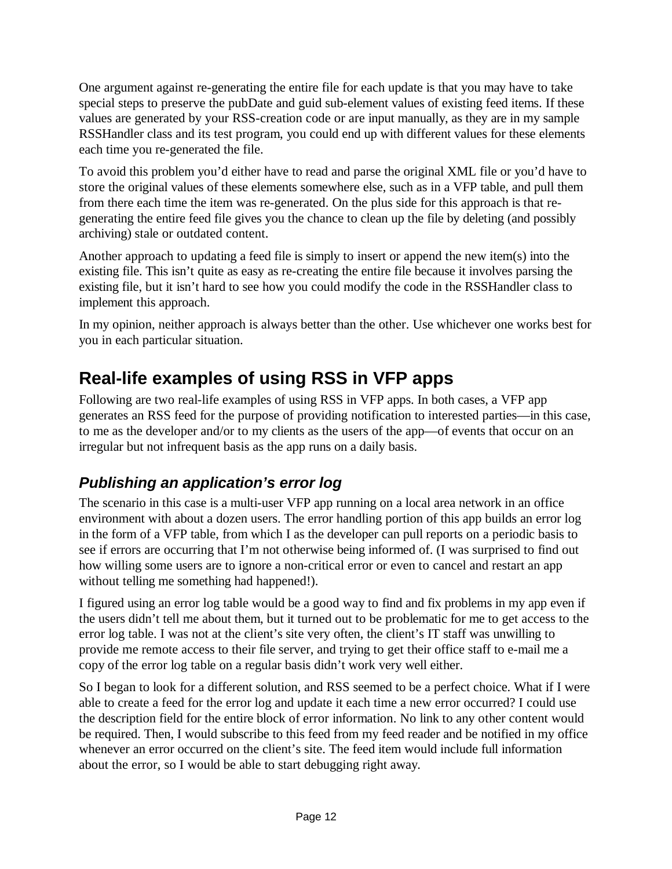One argument against re-generating the entire file for each update is that you may have to take special steps to preserve the pubDate and guid sub-element values of existing feed items. If these values are generated by your RSS-creation code or are input manually, as they are in my sample RSSHandler class and its test program, you could end up with different values for these elements each time you re-generated the file.

To avoid this problem you'd either have to read and parse the original XML file or you'd have to store the original values of these elements somewhere else, such as in a VFP table, and pull them from there each time the item was re-generated. On the plus side for this approach is that regenerating the entire feed file gives you the chance to clean up the file by deleting (and possibly archiving) stale or outdated content.

Another approach to updating a feed file is simply to insert or append the new item(s) into the existing file. This isn't quite as easy as re-creating the entire file because it involves parsing the existing file, but it isn't hard to see how you could modify the code in the RSSHandler class to implement this approach.

In my opinion, neither approach is always better than the other. Use whichever one works best for you in each particular situation.

# **Real-life examples of using RSS in VFP apps**

Following are two real-life examples of using RSS in VFP apps. In both cases, a VFP app generates an RSS feed for the purpose of providing notification to interested parties—in this case, to me as the developer and/or to my clients as the users of the app—of events that occur on an irregular but not infrequent basis as the app runs on a daily basis.

### *Publishing an application's error log*

The scenario in this case is a multi-user VFP app running on a local area network in an office environment with about a dozen users. The error handling portion of this app builds an error log in the form of a VFP table, from which I as the developer can pull reports on a periodic basis to see if errors are occurring that I'm not otherwise being informed of. (I was surprised to find out how willing some users are to ignore a non-critical error or even to cancel and restart an app without telling me something had happened!).

I figured using an error log table would be a good way to find and fix problems in my app even if the users didn't tell me about them, but it turned out to be problematic for me to get access to the error log table. I was not at the client's site very often, the client's IT staff was unwilling to provide me remote access to their file server, and trying to get their office staff to e-mail me a copy of the error log table on a regular basis didn't work very well either.

So I began to look for a different solution, and RSS seemed to be a perfect choice. What if I were able to create a feed for the error log and update it each time a new error occurred? I could use the description field for the entire block of error information. No link to any other content would be required. Then, I would subscribe to this feed from my feed reader and be notified in my office whenever an error occurred on the client's site. The feed item would include full information about the error, so I would be able to start debugging right away.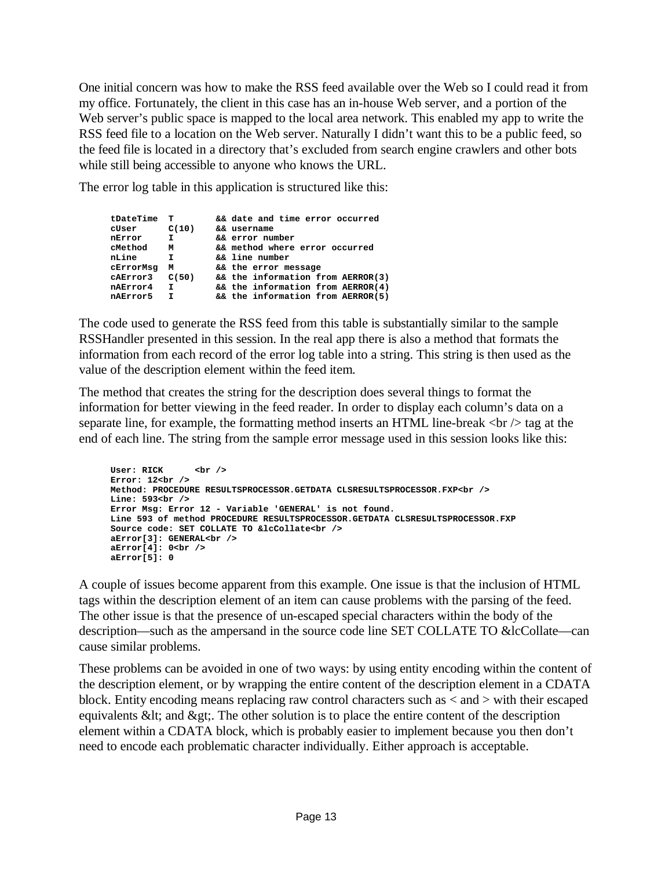One initial concern was how to make the RSS feed available over the Web so I could read it from my office. Fortunately, the client in this case has an in-house Web server, and a portion of the Web server's public space is mapped to the local area network. This enabled my app to write the RSS feed file to a location on the Web server. Naturally I didn't want this to be a public feed, so the feed file is located in a directory that's excluded from search engine crawlers and other bots while still being accessible to anyone who knows the URL.

The error log table in this application is structured like this:

| tDateTime | т     | && date and time error occurred   |
|-----------|-------|-----------------------------------|
| cUser     | C(10) | && username                       |
| nError    | I.    | && error number                   |
| cMethod   | М     | && method where error occurred    |
| nLine     | I.    | && line number                    |
| cErrorMsg | М     | && the error message              |
| cAError3  | C(50) | && the information from AERROR(3) |
| nAError4  | I.    | && the information from AERROR(4) |
| nAError5  | Τ.    | && the information from AERROR(5) |
|           |       |                                   |

The code used to generate the RSS feed from this table is substantially similar to the sample RSSHandler presented in this session. In the real app there is also a method that formats the information from each record of the error log table into a string. This string is then used as the value of the description element within the feed item.

The method that creates the string for the description does several things to format the information for better viewing in the feed reader. In order to display each column's data on a separate line, for example, the formatting method inserts an HTML line-break  $\langle$ br $\rangle$  tag at the end of each line. The string from the sample error message used in this session looks like this:

```
User: RICK <br />
Error: 12<br />
Method: PROCEDURE RESULTSPROCESSOR.GETDATA CLSRESULTSPROCESSOR.FXP<br />
Line: 593<br />
Error Msg: Error 12 - Variable 'GENERAL' is not found.
Line 593 of method PROCEDURE RESULTSPROCESSOR.GETDATA CLSRESULTSPROCESSOR.FXP
Source code: SET COLLATE TO &lcCollate<br />
aError[3]: GENERAL<br />
aError[4]: 0<br />
aError[5]: 0
```
A couple of issues become apparent from this example. One issue is that the inclusion of HTML tags within the description element of an item can cause problems with the parsing of the feed. The other issue is that the presence of un-escaped special characters within the body of the description—such as the ampersand in the source code line SET COLLATE TO &lcCollate—can cause similar problems.

These problems can be avoided in one of two ways: by using entity encoding within the content of the description element, or by wrapping the entire content of the description element in a CDATA block. Entity encoding means replacing raw control characters such as < and > with their escaped equivalents  $<$  t; and  $<$   $<$  The other solution is to place the entire content of the description element within a CDATA block, which is probably easier to implement because you then don't need to encode each problematic character individually. Either approach is acceptable.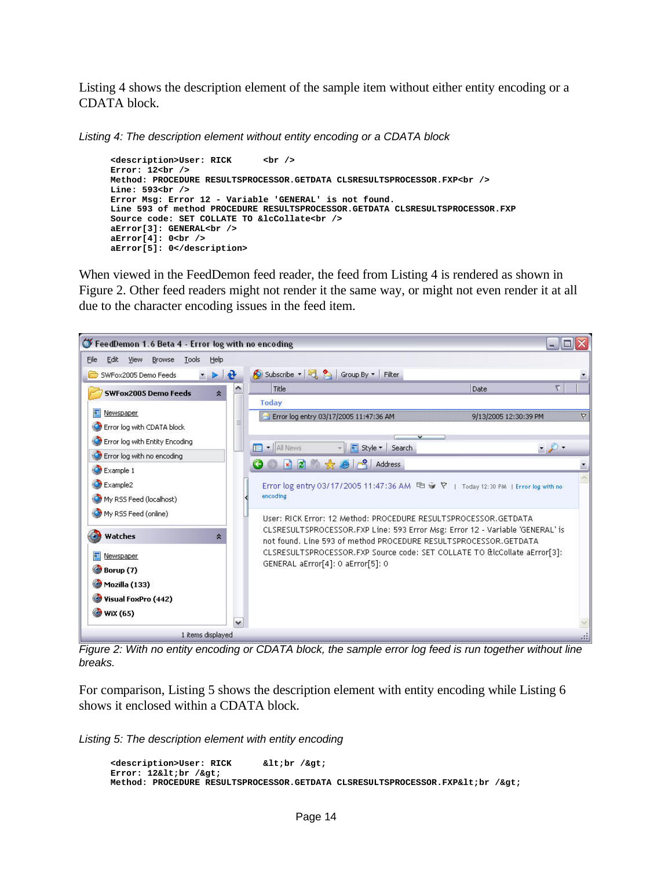Listing 4 shows the description element of the sample item without either entity encoding or a CDATA block.

*Listing 4: The description element without entity encoding or a CDATA block*

```
<description>User: RICK <br />
Error: 12<br />
Method: PROCEDURE RESULTSPROCESSOR.GETDATA CLSRESULTSPROCESSOR.FXP<br />
Line: 593<br />
Error Msg: Error 12 - Variable 'GENERAL' is not found.
Line 593 of method PROCEDURE RESULTSPROCESSOR.GETDATA CLSRESULTSPROCESSOR.FXP
Source code: SET COLLATE TO &lcCollate<br />
aError[3]: GENERAL<br />
aError[4]: 0<br />
aError[5]: 0</description>
```
When viewed in the FeedDemon feed reader, the feed from Listing 4 is rendered as shown in Figure 2. Other feed readers might not render it the same way, or might not even render it at all due to the character encoding issues in the feed item.



*Figure 2: With no entity encoding or CDATA block, the sample error log feed is run together without line breaks.*

For comparison, Listing 5 shows the description element with entity encoding while Listing 6 shows it enclosed within a CDATA block.

*Listing 5: The description element with entity encoding*

```
<description>User: RICK &lt;br /&gt;
Error: 12&1t;br />
Method: PROCEDURE RESULTSPROCESSOR.GETDATA CLSRESULTSPROCESSOR.FXP&lt:br /&gt:
```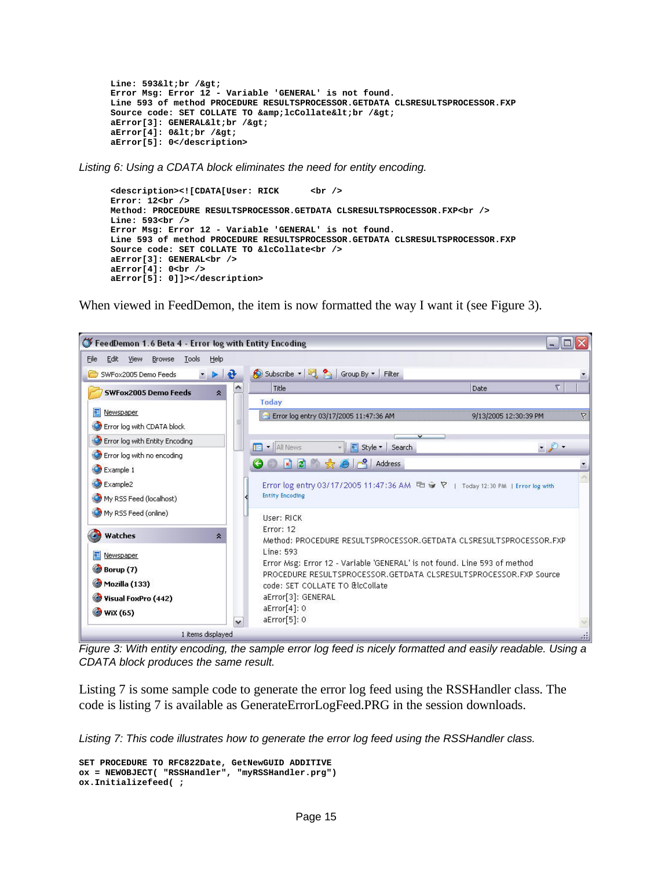```
Line: 593<br /&gt;
Error Msg: Error 12 - Variable 'GENERAL' is not found.
Line 593 of method PROCEDURE RESULTSPROCESSOR.GETDATA CLSRESULTSPROCESSOR.FXP
Source code: SET COLLATE TO & lcCollate< br /&gt;
aError[3]: GENERAL<br /&gt;
aError[4]: 0<br /&gt;
aError[5]: 0</description>
```
*Listing 6: Using a CDATA block eliminates the need for entity encoding.*

```
<description><![CDATA[User: RICK <br />
Error: 12<br />
Method: PROCEDURE RESULTSPROCESSOR.GETDATA CLSRESULTSPROCESSOR.FXP<br />
Line: 593<br />
Error Msg: Error 12 - Variable 'GENERAL' is not found.
Line 593 of method PROCEDURE RESULTSPROCESSOR.GETDATA CLSRESULTSPROCESSOR.FXP
Source code: SET COLLATE TO &lcCollate<br />
aError[3]: GENERAL<br />
aError[4]: 0<br />
aError[5]: 0]]></description>
```
When viewed in FeedDemon, the item is now formatted the way I want it (see Figure 3).



*Figure 3: With entity encoding, the sample error log feed is nicely formatted and easily readable. Using a CDATA block produces the same result.*

Listing 7 is some sample code to generate the error log feed using the RSSHandler class. The code is listing 7 is available as GenerateErrorLogFeed.PRG in the session downloads.

*Listing 7: This code illustrates how to generate the error log feed using the RSSHandler class.*

```
SET PROCEDURE TO RFC822Date, GetNewGUID ADDITIVE 
ox = NEWOBJECT( "RSSHandler", "myRSSHandler.prg")
ox.Initializefeed( ;
```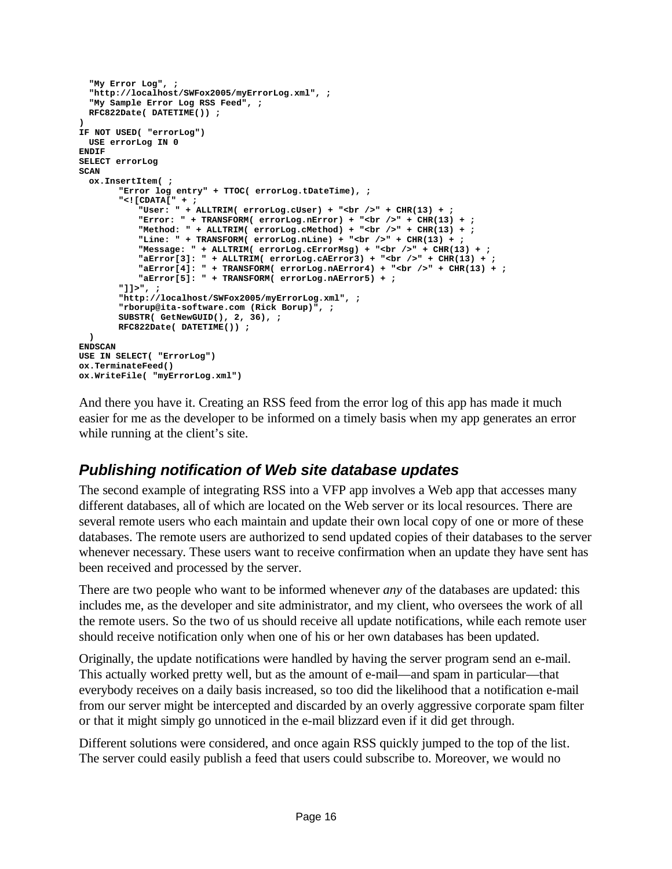```
"My Error Log", ;
  "http://localhost/SWFox2005/myErrorLog.xml", ;
  "My Sample Error Log RSS Feed", ;
 RFC822Date( DATETIME()) ;
)
IF NOT USED( "errorLog")
 USE errorLog IN 0
ENDIF
SELECT errorLog
SCAN
 ox.InsertItem( ;
       "Error log entry" + TTOC( errorLog.tDateTime), ;
       "<![CDATA[" + ;
           "User: " + ALLTRIM( errorLog.cUser) + "<br />" + CHR(13) + ;
           "Error: " + TRANSFORM( errorLog.nError) + "<br />" + CHR(13) + ;
           "Method: " + ALLTRIM( errorLog.cMethod) + "<br /> />" + CHR(13) + ;
           "Line: " + TRANSFORM( errorLog.nLine) + "<br />" + CHR(13) + ;
           "Message: " + ALLTRIM( errorLog.cErrorMsg) + "<br />" + CHR(13) + ;
           "aError[3]: " + ALLTRIM( errorLog.cAError3) + "<br />" + CHR(13) + ;
           "aError[4]: " + TRANSFORM( errorLog.nAError4) + "<br />" + CHR(13) + ;
           "aError[5]: " + TRANSFORM( errorLog.nAError5) + ;
       "]]>", ;
       "http://localhost/SWFox2005/myErrorLog.xml", ;
       "rborup@ita-software.com (Rick Borup)", ;
       SUBSTR( GetNewGUID(), 2, 36), ;
       RFC822Date( DATETIME()) ;
 )
ENDSCAN
USE IN SELECT( "ErrorLog")
ox.TerminateFeed()
ox.WriteFile( "myErrorLog.xml")
```
And there you have it. Creating an RSS feed from the error log of this app has made it much easier for me as the developer to be informed on a timely basis when my app generates an error while running at the client's site.

### *Publishing notification of Web site database updates*

The second example of integrating RSS into a VFP app involves a Web app that accesses many different databases, all of which are located on the Web server or its local resources. There are several remote users who each maintain and update their own local copy of one or more of these databases. The remote users are authorized to send updated copies of their databases to the server whenever necessary. These users want to receive confirmation when an update they have sent has been received and processed by the server.

There are two people who want to be informed whenever *any* of the databases are updated: this includes me, as the developer and site administrator, and my client, who oversees the work of all the remote users. So the two of us should receive all update notifications, while each remote user should receive notification only when one of his or her own databases has been updated.

Originally, the update notifications were handled by having the server program send an e-mail. This actually worked pretty well, but as the amount of e-mail—and spam in particular—that everybody receives on a daily basis increased, so too did the likelihood that a notification e-mail from our server might be intercepted and discarded by an overly aggressive corporate spam filter or that it might simply go unnoticed in the e-mail blizzard even if it did get through.

Different solutions were considered, and once again RSS quickly jumped to the top of the list. The server could easily publish a feed that users could subscribe to. Moreover, we would no